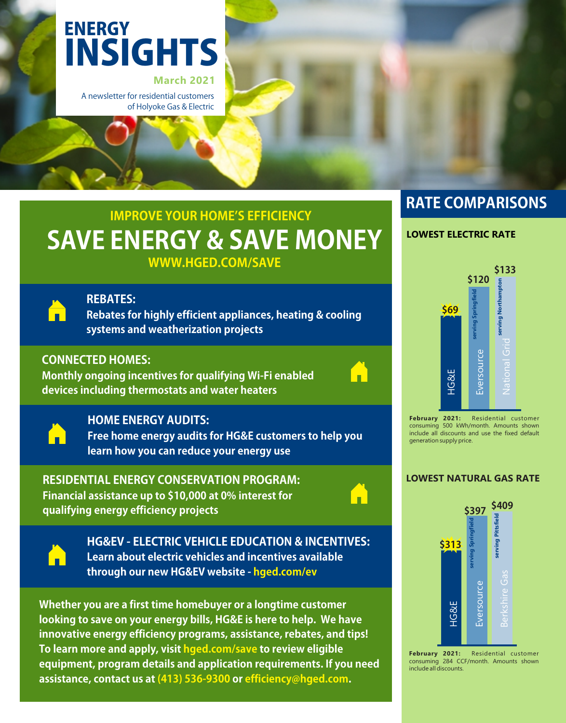

A newsletter for residential customers of Holyoke Gas & Electric

# **SAVE ENERGY & SAVE MONEY IMPROVE YOUR HOME'S EFFICIENCY**

**WWW.HGED.COM/SAVE**



### **REBATES:**

**Rebates for highly efficient appliances, heating & cooling** systems and weatherization projects

## **CONNECTED HOMES:**

**MonthlyongoingincentivesforqualifyingWi-Fienabled devicesincludingthermostatsandwaterheaters**





### **HOME ENERGY AUDITS:**

**Free home energy audits for HG&E customers to help you** learn how you can reduce your energy use

### **RESIDENTIALENERGYCONSERVATIONPROGRAM:**

**Financialassistanceupto\$10,000at0%interestfor qualifyingenergyefficiencyprojects**





**HG&EV-ELECTRICVEHICLEEDUCATION&INCENTIVES: Learn about electric vehicles and incentives available** through our new HG&EV website - hged.com/ev

**Whether you are a first time homebuyer or a longtime customer** looking to save on your energy bills, HG&E is here to help. We have innovative energy efficiency programs, assistance, rebates, and tips! To learn more and apply, visit hged.com/save to review eligible equipment, program details and application requirements. If you need assistance, contact us at (413) 536-9300 or efficiency@hged.com.

# **RATE COMPARISONS**

### **LOWEST ELECTRIC RATE**



**February 2021:** Residential customer consuming 500 kWh/month. Amounts shown include all discounts and use the fixed default generation supply price.

### **LOWEST NATURAL GAS RATE**



**February 2021:** Residential customer consuming 284 CCF/month. Amounts shown include all discounts.